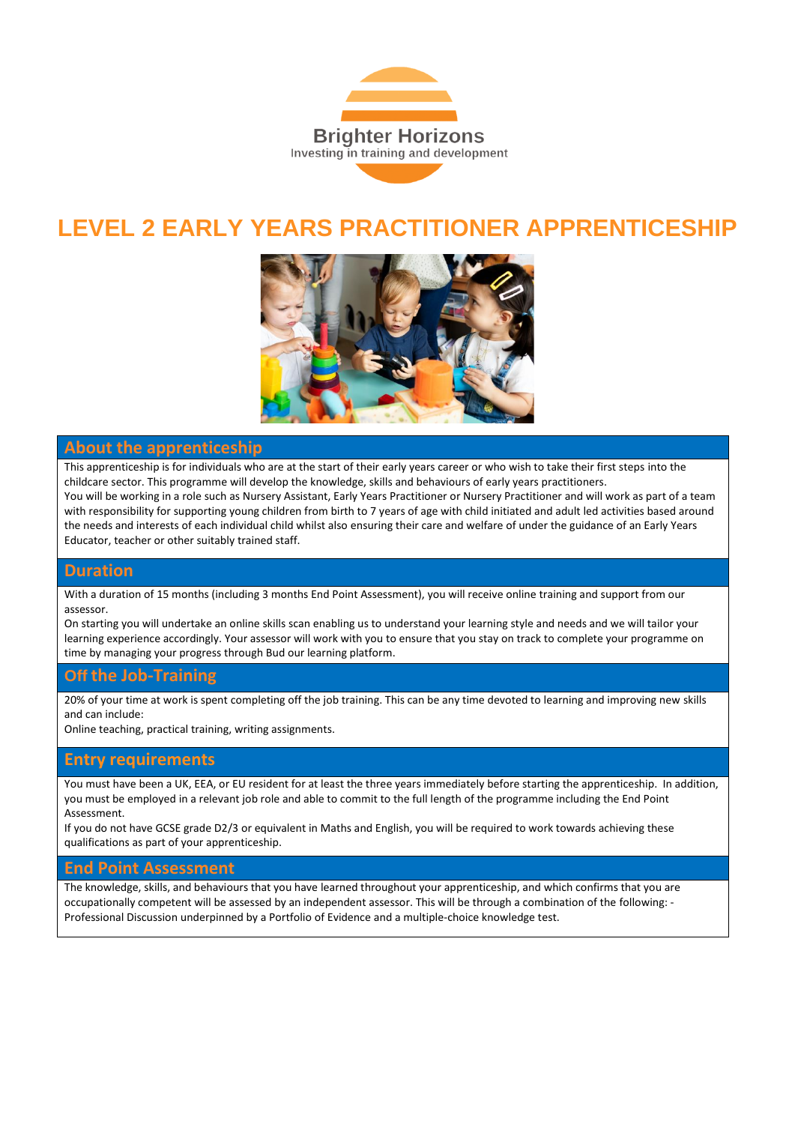

## **LEVEL 2 EARLY YEARS PRACTITIONER APPRENTICESHIP**



### **About the apprenticeship**

This apprenticeship is for individuals who are at the start of their early years career or who wish to take their first steps into the childcare sector. This programme will develop the knowledge, skills and behaviours of early years practitioners.

You will be working in a role such as Nursery Assistant, Early Years Practitioner or Nursery Practitioner and will work as part of a team with responsibility for supporting young children from birth to 7 years of age with child initiated and adult led activities based around the needs and interests of each individual child whilst also ensuring their care and welfare of under the guidance of an Early Years Educator, teacher or other suitably trained staff.

### **Duration**

With a duration of 15 months (including 3 months End Point Assessment), you will receive online training and support from our assessor.

On starting you will undertake an online skills scan enabling us to understand your learning style and needs and we will tailor your learning experience accordingly. Your assessor will work with you to ensure that you stay on track to complete your programme on time by managing your progress through Bud our learning platform.

### **Off the Job-Training**

20% of your time at work is spent completing off the job training. This can be any time devoted to learning and improving new skills and can include:

Online teaching, practical training, writing assignments.

### **Entry requirements**

You must have been a UK, EEA, or EU resident for at least the three years immediately before starting the apprenticeship. In addition, you must be employed in a relevant job role and able to commit to the full length of the programme including the End Point Assessment.

If you do not have GCSE grade D2/3 or equivalent in Maths and English, you will be required to work towards achieving these qualifications as part of your apprenticeship.

#### **End Point Assessment**

The knowledge, skills, and behaviours that you have learned throughout your apprenticeship, and which confirms that you are occupationally competent will be assessed by an independent assessor. This will be through a combination of the following: - Professional Discussion underpinned by a Portfolio of Evidence and a multiple-choice knowledge test.